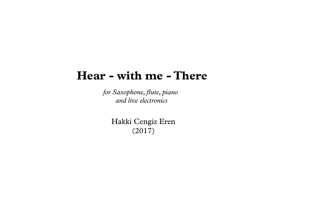Hakki Cengiz Eren (2017)

*for Saxophone, flute, piano and live electronics*

# **Hear - with me - There**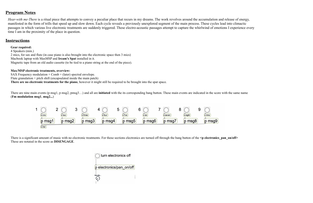There is a significant amount of music with no electronic treatments. For those sections electronics are turned off through the bang button of the  $\leq$ **p electronics pan\_on/off>** These are notated in the score as **DISENGAGE**.



There are nine main events (p msg1, p msg2, pmsg3...) and all are **initiated** with the its corresponding bang button. These main events are indicated in the score with the same name (**Fm modulation msg1**, **msg2...**)



#### **Instructions**

*Hear-with me-There* is a ritual piece that attempts to convey a peculiar place that recurs in my dreams. The work revolves around the accumulation and release of energy, manifested in the form of trills that anged up and manifested in the form of trills that speed up and slow down. Each cycle reveals a previously unexplored segment of the main process. These cycles lead into climactic passages in which various live electronic treatments are suddenly triggered. These electro-acoustic passages attempt to capture the whirlwind of emotions I experience every time Iam in the proximity of the place in question.

4 Speakers (min.) 2 mics, for sax and flute (in case piano is also brought into the electronic space then 3 mics) Macbook laptop with MaxMSP and **Ircam's Spat** installed in it. MagneticMagnetic tape from an old audio cassette (to be tied to a piano string at the end of the piece).

SAX Frequency modulation  $+$  Comb  $+$  (later) spectral envelope.<br>Flute grapulation  $+$  pitch shift (enconculated inside the main natch). Flute granulation  $+$  pitch shift (encapsulated inside the main patch) **There are no electronic treatments for the piano**, however it might still be required to be brought into the spat space.

### **Gear required:**

## **Max/MSP electronic treatments, overview:**

#### **Program Notes**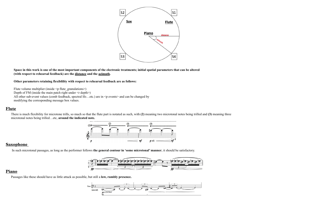

Space in this work is one of the most important components of the electronic treatments: initial spatial parameters that can be altered **(with respect to rehearsal feedback) are the distance and the azimuth.**

**Other parameters retaining flexiblility with respect to rehearsal feedback are as follows:**

Flute volume multiplier (inside  $\leq$ p flute granulations>) Depth of FM (inside the main patch right under <r depth>)  $\mathcal{L}$  began of 1 M (inside the main patentigm and  $\epsilon_1$  depths)<br>All other sub-event values (comb feedback, spectral lfo...etc.) are in <p events> and can be changed by All other sub-event values (comb recuback, spectrum in modifying the corresponding message box values.

There is much flexibility for microtone trills, so much so that the flute part is notated as such, with **(2)** meaning two microtonal notes being trilled and **(3)** meaning three microtonal notes being trilled…etc, **around the indicated note.**



In such microtonal passages, as long as the performer follows **the general contour in 'some microtonal' manner**, it should be satisfactory.



Passages like these should have as little attack as possible, but still a **low, rumbly presence.**



#### **Flute**

#### **Saxophone**

#### **Piano**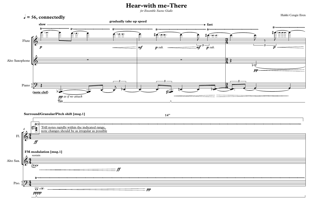# q **= 56, connectedly**

 $\stackrel{\text{III}}{\text{---}}$ 

 $\rightarrow$   $=$   $=$  $\phi$ <u>{{Q</u>  $\mathbb{P}_{\widehat{\mathbf{H}}}$  $\bigcirc$ <sup>4</sup> Flute Alto Saxophone Piano  $p$  and  $p$  sub. <u>provides the proposition of  $\frac{1}{p}$  and  $\frac{1}{p}$   $\frac{1}{p}$   $\frac{1}{p}$   $\frac{1}{p}$   $\frac{1}{p}$   $\frac{1}{p}$ </u> pp *as if no attack*  $\mathfrak{D}$ ed. $\begin{array}{ccc}\n & \wedge & \wedge & \wedge & \wedge & \wedge & \wedge\nonumber & \wedge & \wedge & \wedge & \wedge\nonumber & \wedge & \wedge & \wedge & \wedge\nonumber & \wedge & \wedge & \wedge & \wedge\nonumber & \wedge & \wedge & \wedge & \wedge\nonumber & \wedge & \wedge & \wedge & \wedge\nonumber & \wedge & \wedge & \wedge & \wedge\nonumber & \wedge & \wedge & \wedge & \wedge\nonumber & \wedge & \wedge & \wedge & \wedge\nonumber & \wedge & \wedge & \wedge & \wedge\nonumber & \$ Fl. Alto Sax. f 4 | \  $f f$  $\frac{1}{4}$  $\frac{4}{4}$  $4$  $\frac{4}{4}$  $\qquad \qquad \bullet$ **slow**  $; \bullet$  $t$   $t$   $t$   $\leftarrow$   $t$   $\leftarrow$   $t$   $\leftarrow$   $\leftarrow$   $\leftarrow$   $\leftarrow$  $\overbrace{\phantom{aaaa}}^{\bullet(\bullet)}$ **gradually take up speed**  $t$   $\overline{t}$   $\overline{t}$   $\overline{t}$   $\overline{t}$   $\overline{t}$   $\overline{t}$   $\overline{t}$   $\overline{t}$   $\overline{t}$   $\overline{t}$   $\overline{t}$   $\overline{t}$   $\overline{t}$   $\overline{t}$   $\overline{t}$   $\overline{t}$   $\overline{t}$   $\overline{t}$   $\overline{t}$   $\overline{t}$   $\overline{t}$   $\overline{t}$   $\overline{t}$   $\overline{t}$   $\stackrel{(\dagger - \dagger - \dagger)}{=}\,$  $t$  $\sharp\mathbf{e}$ ( $\mathbf{e}\sharp\mathbf{e}$ )  $\overbrace{e^{(\mathbf{i}\cdot\mathbf{z}+\mathbf{z})}}$ **fast**  $-\frac{1}{m f}$  3  $\frac{1}{p}$  sub.  $\phi$  $9:$   $\longleftrightarrow$  $\frac{1}{8}$ **(note clef)**  $3$  and  $5$   $-5$ &  $\left\lfloor \frac{1}{n} \right\rfloor$  Trill notes rapidly within the indicated range, note changes should be as irregular as possible **Surround/Granular/Pitch shift [msg.1]** note changes should be as irregular as possible **14''** <Ÿ>~~~~~~~~~~~~~~~~~~~~~~~~~~~~~~~~~~~~~~~~~~~~~~~~~~~~~~~~~~~~~~~~~~~~~~~~~~~~~~~~~~~~~~~~~~~~~~~~~~~~~~~~~~~~~~~~~~~~~~~~~~~~~~~~~~~~~~~~~~~~~~~~~~~~~~~~~~~~~~~~~~~~~~~~~~~~~~~~~~~~~~~~~~~~~~~~~~~~~~~~~~~~~~~~~~~~~~~~~~~~~~~~~~~~~~~~~~~~~~~~~~~~~~~~~~~~~~~~~~ **FM modulation [msg.1]** sustain  $E^{\left(\frac{1}{2}\right)}$   $E^{\left(\frac{1}{2}\right)}$   $E^{\left(\frac{1}{2}\right)}$   $E^{\left(\frac{1}{2}\right)}$   $E^{\left(\frac{1}{2}\right)}$   $E^{\left(\frac{1}{2}\right)}$   $E^{\left(\frac{1}{2}\right)}$  $\overline{ }$  $\sum_{i=1}^{n}$  $\overrightarrow{=}$  $\frac{1}{2}$  be  $j$  be example the  $\frac{1}{2}$  $n$ e be $\frac{4}{\sqrt{2}}$ e:  $\left(\frac{u}{v}\right)^{n}$  Trill 1  $(b)$   $\sigma$ 

# **Hear-with me-There**

*for Ensemble Suono Giallo*

#### Hakki Cengiz Eren

 $\sqrt{\frac{1}{2}}$ Pno.  $\sqrt{9.4}$ pppp pp  $4 \frac{1}{1}$  $\frac{4}{4}$  $\frac{1}{8}$  4  $\overline{\overline{\mathbf{O}}^{(p-1)}}$ Ÿ~~~~~~~~~~~~~~~~~~~~~~~~~~~~~~~~~~~~~~~~~~~~~~~~~~~~~~~~~~~~~~~~~~~~~~~~~~~~~~~~~~~~~~~~~~~~~~~~~~~~~~~~~~~~~~~~~~~~~~~~~~~~~~~~~~~~~~~~~~~~~~~~~~~~~~~~~~~~~~~~~~~~~~~~~~~~~~~~~~~~~~~~~~~~~~~~~~~~~~~~~~~~~~~~~~~~~~~~~~~~~~~~~~~~~~~~~~~~~~~~~~~~~~~~~~~~~~~~~~~~~~

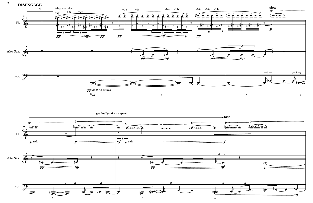**gradually take up speed**





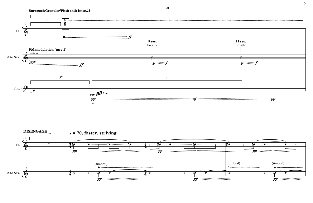



3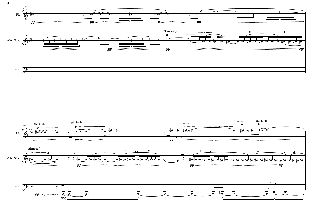

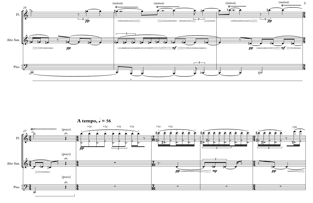

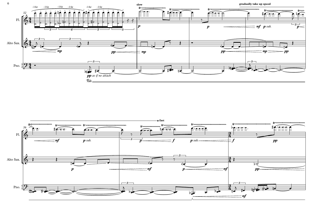

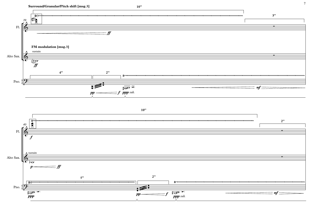

 $\overline{7}$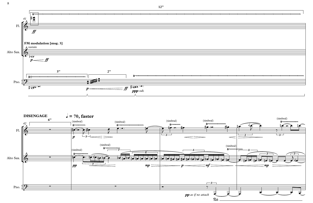

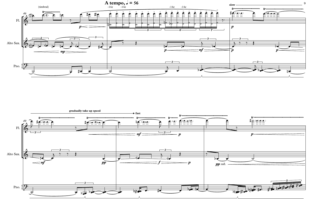

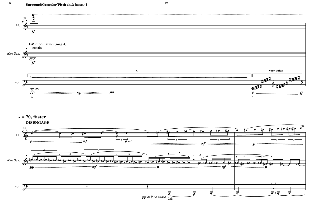q **= 70, faster**





10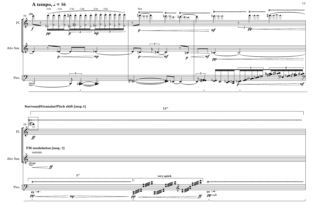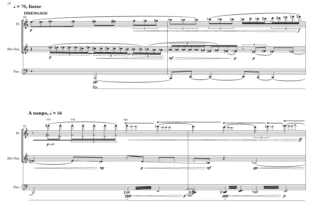





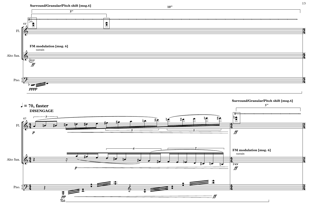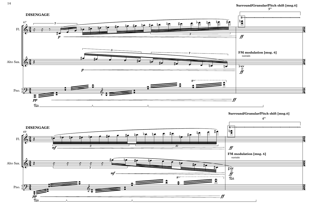#### **Surround/Granular/Pitch shift [msg.6] 3''**





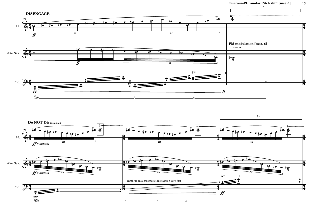



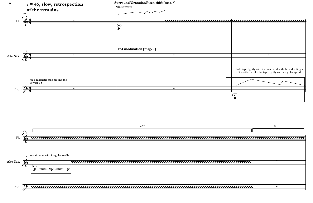